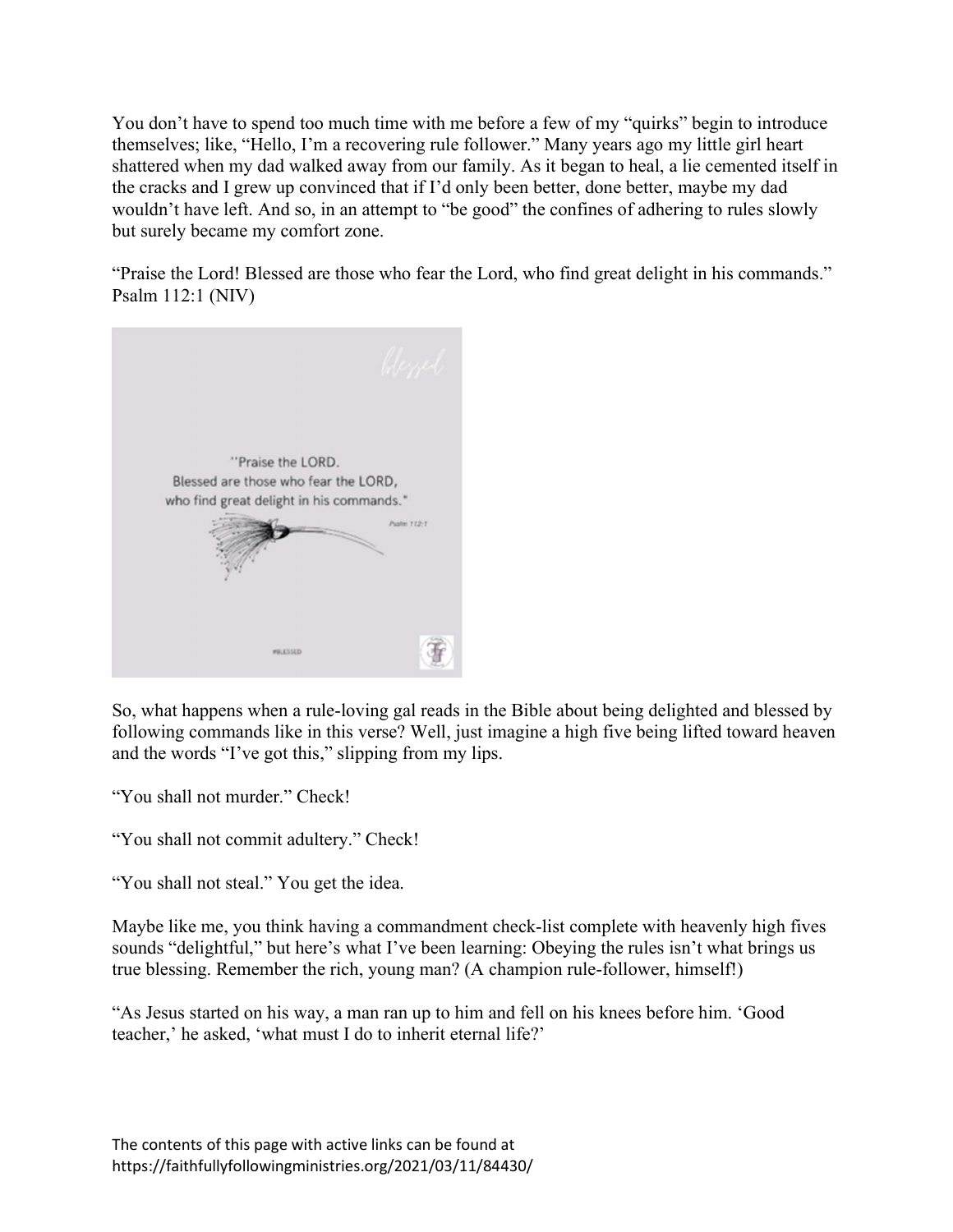You don't have to spend too much time with me before a few of my "quirks" begin to introduce themselves; like, "Hello, I'm a recovering rule follower." Many years ago my little girl heart shattered when my dad walked away from our family. As it began to heal, a lie cemented itself in the cracks and I grew up convinced that if I'd only been better, done better, maybe my dad wouldn't have left. And so, in an attempt to "be good" the confines of adhering to rules slowly but surely became my comfort zone.

"Praise the Lord! Blessed are those who fear the Lord, who find great delight in his commands." Psalm 112:1 (NIV)



So, what happens when a rule-loving gal reads in the Bible about being delighted and blessed by following commands like in this verse? Well, just imagine a high five being lifted toward heaven and the words "I've got this," slipping from my lips.

"You shall not murder." Check!

"You shall not commit adultery." Check!

"You shall not steal." You get the idea.

Maybe like me, you think having a commandment check-list complete with heavenly high fives sounds "delightful," but here's what I've been learning: Obeying the rules isn't what brings us true blessing. Remember the rich, young man? (A champion rule-follower, himself!)

"As Jesus started on his way, a man ran up to him and fell on his knees before him. 'Good teacher,' he asked, 'what must I do to inherit eternal life?'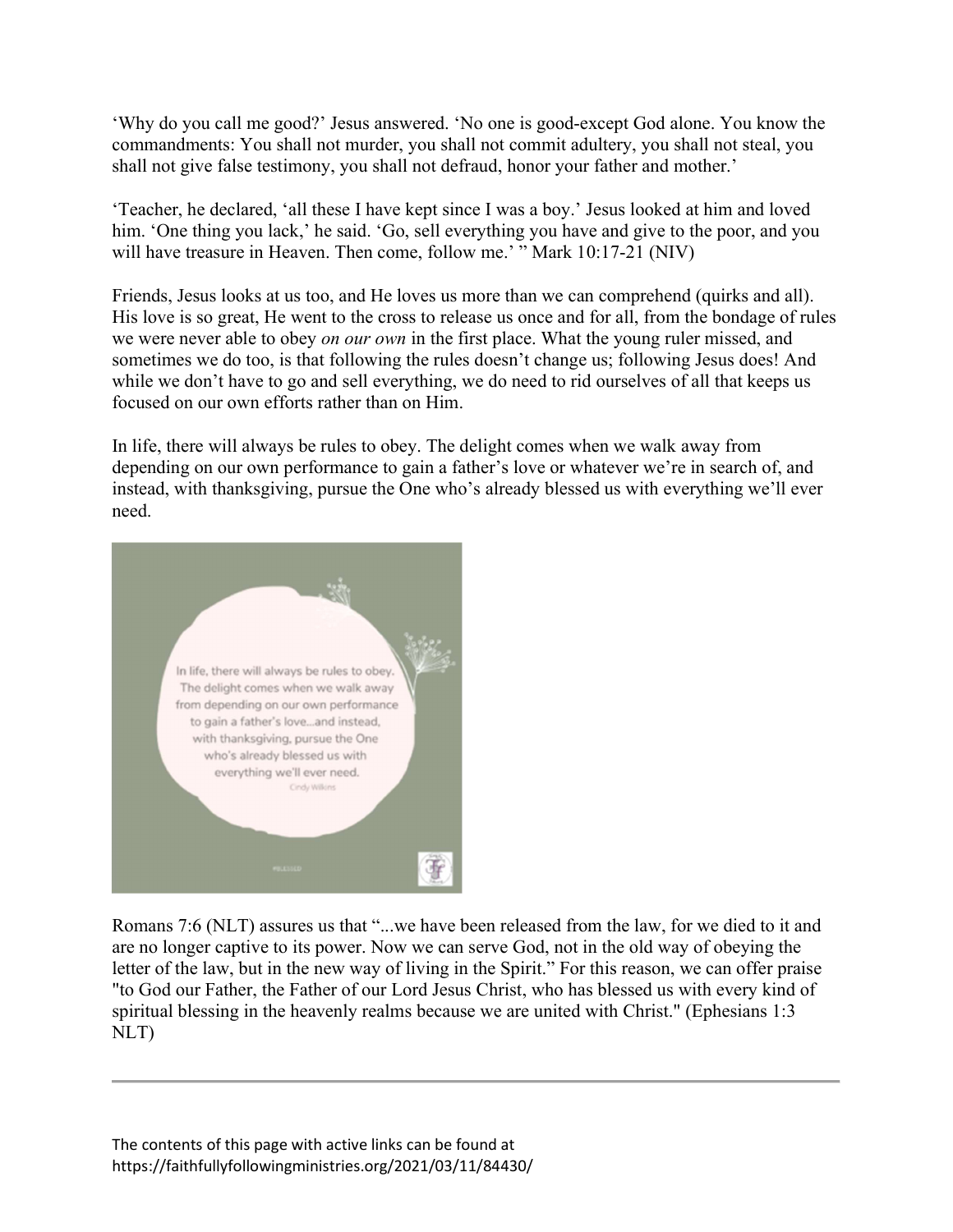'Why do you call me good?' Jesus answered. 'No one is good-except God alone. You know the commandments: You shall not murder, you shall not commit adultery, you shall not steal, you shall not give false testimony, you shall not defraud, honor your father and mother.'

'Teacher, he declared, 'all these I have kept since I was a boy.' Jesus looked at him and loved him. 'One thing you lack,' he said. 'Go, sell everything you have and give to the poor, and you will have treasure in Heaven. Then come, follow me.' " Mark 10:17-21 (NIV)

Friends, Jesus looks at us too, and He loves us more than we can comprehend (quirks and all). His love is so great, He went to the cross to release us once and for all, from the bondage of rules we were never able to obey *on our own* in the first place. What the young ruler missed, and sometimes we do too, is that following the rules doesn't change us; following Jesus does! And while we don't have to go and sell everything, we do need to rid ourselves of all that keeps us focused on our own efforts rather than on Him.

In life, there will always be rules to obey. The delight comes when we walk away from depending on our own performance to gain a father's love or whatever we're in search of, and instead, with thanksgiving, pursue the One who's already blessed us with everything we'll ever need.



Romans 7:6 (NLT) assures us that "...we have been released from the law, for we died to it and are no longer captive to its power. Now we can serve God, not in the old way of obeying the letter of the law, but in the new way of living in the Spirit." For this reason, we can offer praise "to God our Father, the Father of our Lord Jesus Christ, who has blessed us with every kind of spiritual blessing in the heavenly realms because we are united with Christ." (Ephesians 1:3 NLT)